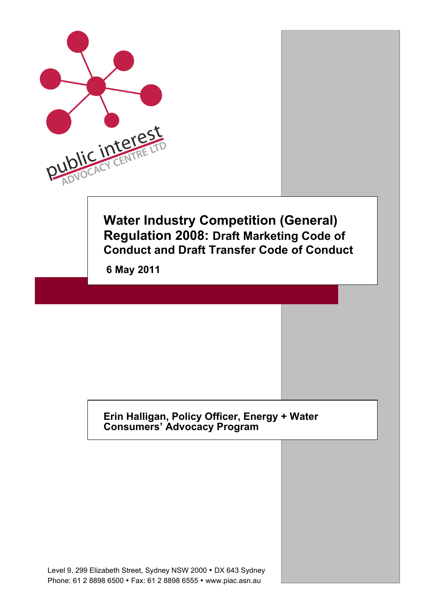

#### **Erin Halligan, Policy Officer, Energy + Water Consumers' Advocacy Program**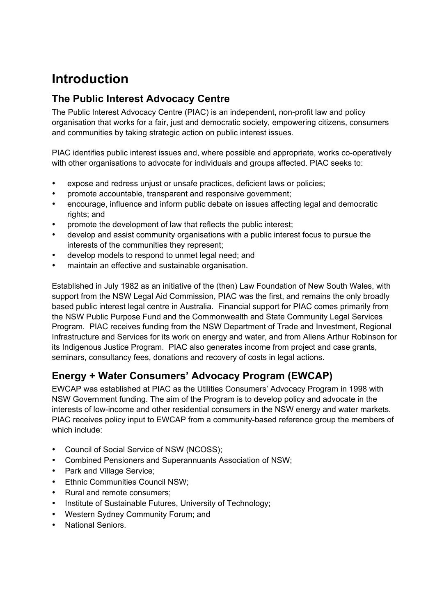# **Introduction**

## **The Public Interest Advocacy Centre**

The Public Interest Advocacy Centre (PIAC) is an independent, non-profit law and policy organisation that works for a fair, just and democratic society, empowering citizens, consumers and communities by taking strategic action on public interest issues.

PIAC identifies public interest issues and, where possible and appropriate, works co-operatively with other organisations to advocate for individuals and groups affected. PIAC seeks to:

- expose and redress uniust or unsafe practices, deficient laws or policies;
- promote accountable, transparent and responsive government;
- encourage, influence and inform public debate on issues affecting legal and democratic rights; and
- promote the development of law that reflects the public interest;
- develop and assist community organisations with a public interest focus to pursue the interests of the communities they represent;
- develop models to respond to unmet legal need; and
- maintain an effective and sustainable organisation.

Established in July 1982 as an initiative of the (then) Law Foundation of New South Wales, with support from the NSW Legal Aid Commission, PIAC was the first, and remains the only broadly based public interest legal centre in Australia. Financial support for PIAC comes primarily from the NSW Public Purpose Fund and the Commonwealth and State Community Legal Services Program. PIAC receives funding from the NSW Department of Trade and Investment, Regional Infrastructure and Services for its work on energy and water, and from Allens Arthur Robinson for its Indigenous Justice Program. PIAC also generates income from project and case grants, seminars, consultancy fees, donations and recovery of costs in legal actions.

## **Energy + Water Consumers' Advocacy Program (EWCAP)**

EWCAP was established at PIAC as the Utilities Consumers' Advocacy Program in 1998 with NSW Government funding. The aim of the Program is to develop policy and advocate in the interests of low-income and other residential consumers in the NSW energy and water markets. PIAC receives policy input to EWCAP from a community-based reference group the members of which include:

- Council of Social Service of NSW (NCOSS);
- Combined Pensioners and Superannuants Association of NSW;
- Park and Village Service:
- Ethnic Communities Council NSW;
- Rural and remote consumers;
- Institute of Sustainable Futures, University of Technology;
- Western Sydney Community Forum; and
- National Seniors.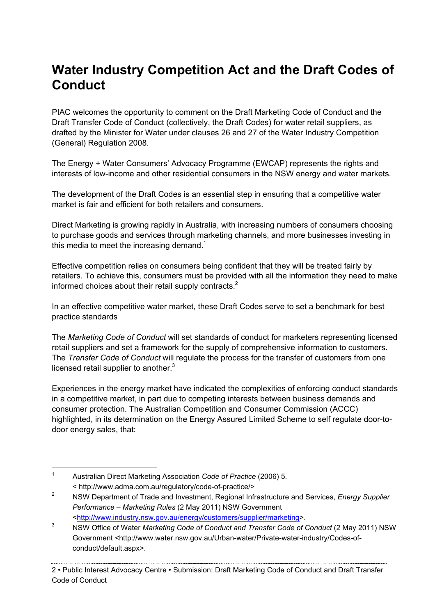# **Water Industry Competition Act and the Draft Codes of Conduct**

PIAC welcomes the opportunity to comment on the Draft Marketing Code of Conduct and the Draft Transfer Code of Conduct (collectively, the Draft Codes) for water retail suppliers, as drafted by the Minister for Water under clauses 26 and 27 of the Water Industry Competition (General) Regulation 2008.

The Energy + Water Consumers' Advocacy Programme (EWCAP) represents the rights and interests of low-income and other residential consumers in the NSW energy and water markets.

The development of the Draft Codes is an essential step in ensuring that a competitive water market is fair and efficient for both retailers and consumers.

Direct Marketing is growing rapidly in Australia, with increasing numbers of consumers choosing to purchase goods and services through marketing channels, and more businesses investing in this media to meet the increasing demand.<sup>1</sup>

Effective competition relies on consumers being confident that they will be treated fairly by retailers. To achieve this, consumers must be provided with all the information they need to make informed choices about their retail supply contracts.<sup>2</sup>

In an effective competitive water market, these Draft Codes serve to set a benchmark for best practice standards

The *Marketing Code of Conduct* will set standards of conduct for marketers representing licensed retail suppliers and set a framework for the supply of comprehensive information to customers. The *Transfer Code of Conduct* will regulate the process for the transfer of customers from one licensed retail supplier to another. $3$ 

Experiences in the energy market have indicated the complexities of enforcing conduct standards in a competitive market, in part due to competing interests between business demands and consumer protection. The Australian Competition and Consumer Commission (ACCC) highlighted, in its determination on the Energy Assured Limited Scheme to self regulate door-todoor energy sales, that:

 <sup>1</sup> Australian Direct Marketing Association *Code of Practice* (2006) 5.

<sup>&</sup>lt; http://www.adma.com.au/regulatory/code-of-practice/>

<sup>2</sup> NSW Department of Trade and Investment, Regional Infrastructure and Services, *Energy Supplier Performance – Marketing Rules* (2 May 2011) NSW Government <http://www.industry.nsw.gov.au/energy/customers/supplier/marketing>.

<sup>3</sup> NSW Office of Water *Marketing Code of Conduct and Transfer Code of Conduct* (2 May 2011) NSW Government <http://www.water.nsw.gov.au/Urban-water/Private-water-industry/Codes-ofconduct/default.aspx>.

<sup>2 •</sup> Public Interest Advocacy Centre • Submission: Draft Marketing Code of Conduct and Draft Transfer Code of Conduct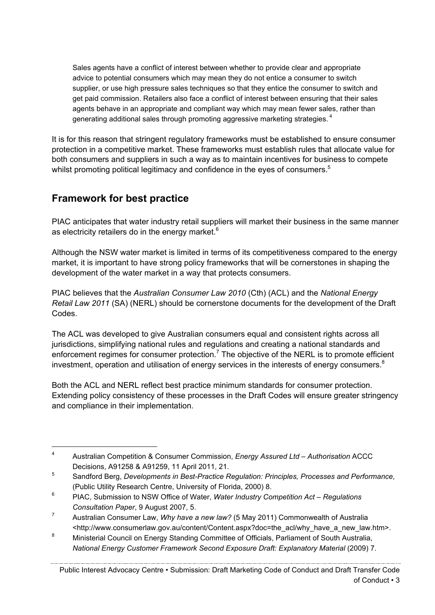Sales agents have a conflict of interest between whether to provide clear and appropriate advice to potential consumers which may mean they do not entice a consumer to switch supplier, or use high pressure sales techniques so that they entice the consumer to switch and get paid commission. Retailers also face a conflict of interest between ensuring that their sales agents behave in an appropriate and compliant way which may mean fewer sales, rather than generating additional sales through promoting aggressive marketing strategies.<sup>4</sup>

It is for this reason that stringent regulatory frameworks must be established to ensure consumer protection in a competitive market. These frameworks must establish rules that allocate value for both consumers and suppliers in such a way as to maintain incentives for business to compete whilst promoting political legitimacy and confidence in the eyes of consumers.<sup>5</sup>

## **Framework for best practice**

PIAC anticipates that water industry retail suppliers will market their business in the same manner as electricity retailers do in the energy market.<sup>6</sup>

Although the NSW water market is limited in terms of its competitiveness compared to the energy market, it is important to have strong policy frameworks that will be cornerstones in shaping the development of the water market in a way that protects consumers.

PIAC believes that the *Australian Consumer Law 2010* (Cth) (ACL) and the *National Energy Retail Law 2011* (SA) (NERL) should be cornerstone documents for the development of the Draft Codes.

The ACL was developed to give Australian consumers equal and consistent rights across all jurisdictions, simplifying national rules and regulations and creating a national standards and enforcement regimes for consumer protection.<sup>7</sup> The objective of the NERL is to promote efficient investment, operation and utilisation of energy services in the interests of energy consumers. $8$ 

Both the ACL and NERL reflect best practice minimum standards for consumer protection. Extending policy consistency of these processes in the Draft Codes will ensure greater stringency and compliance in their implementation.

 <sup>4</sup> Australian Competition & Consumer Commission, *Energy Assured Ltd – Authorisation* ACCC Decisions, A91258 & A91259, 11 April 2011, 21.

<sup>5</sup> Sandford Berg, *Developments in Best-Practice Regulation: Principles, Processes and Performance*, (Public Utility Research Centre, University of Florida, 2000) 8.

<sup>6</sup> PIAC, Submission to NSW Office of Water, *Water Industry Competition Act – Regulations Consultation Paper*, 9 August 2007, 5.

<sup>7</sup> Australian Consumer Law, *Why have a new law?* (5 May 2011) Commonwealth of Australia <http://www.consumerlaw.gov.au/content/Content.aspx?doc=the\_acl/why\_have\_a\_new\_law.htm>.

<sup>8</sup> Ministerial Council on Energy Standing Committee of Officials, Parliament of South Australia, *National Energy Customer Framework Second Exposure Draft: Explanatory Material* (2009) 7.

Public Interest Advocacy Centre • Submission: Draft Marketing Code of Conduct and Draft Transfer Code of Conduct • 3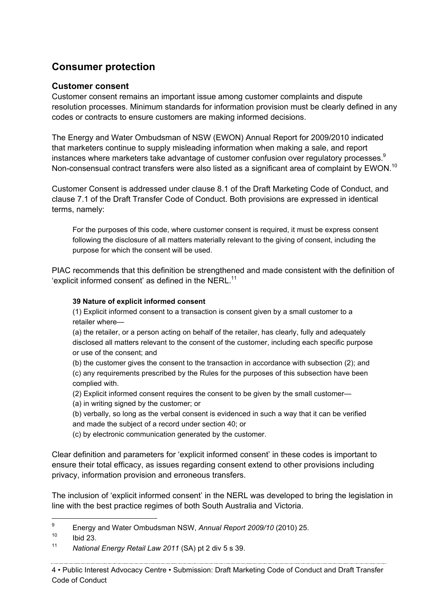## **Consumer protection**

#### **Customer consent**

Customer consent remains an important issue among customer complaints and dispute resolution processes. Minimum standards for information provision must be clearly defined in any codes or contracts to ensure customers are making informed decisions.

The Energy and Water Ombudsman of NSW (EWON) Annual Report for 2009/2010 indicated that marketers continue to supply misleading information when making a sale, and report instances where marketers take advantage of customer confusion over regulatory processes.<sup>9</sup> Non-consensual contract transfers were also listed as a significant area of complaint by EWON.<sup>10</sup>

Customer Consent is addressed under clause 8.1 of the Draft Marketing Code of Conduct, and clause 7.1 of the Draft Transfer Code of Conduct. Both provisions are expressed in identical terms, namely:

For the purposes of this code, where customer consent is required, it must be express consent following the disclosure of all matters materially relevant to the giving of consent, including the purpose for which the consent will be used.

PIAC recommends that this definition be strengthened and made consistent with the definition of 'explicit informed consent' as defined in the NERL.<sup>11</sup>

#### **39 Nature of explicit informed consent**

(1) Explicit informed consent to a transaction is consent given by a small customer to a retailer where—

(a) the retailer, or a person acting on behalf of the retailer, has clearly, fully and adequately disclosed all matters relevant to the consent of the customer, including each specific purpose or use of the consent; and

(b) the customer gives the consent to the transaction in accordance with subsection (2); and (c) any requirements prescribed by the Rules for the purposes of this subsection have been complied with.

- (2) Explicit informed consent requires the consent to be given by the small customer—
- (a) in writing signed by the customer; or
- (b) verbally, so long as the verbal consent is evidenced in such a way that it can be verified and made the subject of a record under section 40; or

(c) by electronic communication generated by the customer.

Clear definition and parameters for 'explicit informed consent' in these codes is important to ensure their total efficacy, as issues regarding consent extend to other provisions including privacy, information provision and erroneous transfers.

The inclusion of 'explicit informed consent' in the NERL was developed to bring the legislation in line with the best practice regimes of both South Australia and Victoria.

 <sup>9</sup> Energy and Water Ombudsman NSW, *Annual Report 2009/10* (2010) 25.

Ibid 23.

<sup>11</sup> *National Energy Retail Law 2011* (SA) pt 2 div 5 s 39.

<sup>4 •</sup> Public Interest Advocacy Centre • Submission: Draft Marketing Code of Conduct and Draft Transfer Code of Conduct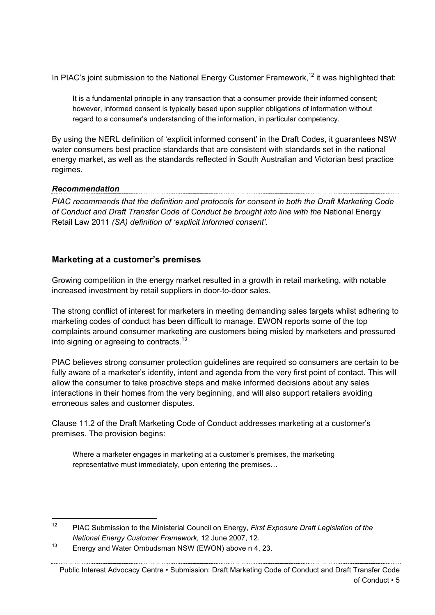In PIAC's joint submission to the National Energy Customer Framework,<sup>12</sup> it was highlighted that:

It is a fundamental principle in any transaction that a consumer provide their informed consent; however, informed consent is typically based upon supplier obligations of information without regard to a consumer's understanding of the information, in particular competency.

By using the NERL definition of 'explicit informed consent' in the Draft Codes, it guarantees NSW water consumers best practice standards that are consistent with standards set in the national energy market, as well as the standards reflected in South Australian and Victorian best practice regimes.

#### *Recommendation*

*PIAC recommends that the definition and protocols for consent in both the Draft Marketing Code of Conduct and Draft Transfer Code of Conduct be brought into line with the* National Energy Retail Law 2011 *(SA) definition of 'explicit informed consent'.*

#### **Marketing at a customer's premises**

Growing competition in the energy market resulted in a growth in retail marketing, with notable increased investment by retail suppliers in door-to-door sales.

The strong conflict of interest for marketers in meeting demanding sales targets whilst adhering to marketing codes of conduct has been difficult to manage. EWON reports some of the top complaints around consumer marketing are customers being misled by marketers and pressured into signing or agreeing to contracts.<sup>13</sup>

PIAC believes strong consumer protection guidelines are required so consumers are certain to be fully aware of a marketer's identity, intent and agenda from the very first point of contact. This will allow the consumer to take proactive steps and make informed decisions about any sales interactions in their homes from the very beginning, and will also support retailers avoiding erroneous sales and customer disputes.

Clause 11.2 of the Draft Marketing Code of Conduct addresses marketing at a customer's premises. The provision begins:

Where a marketer engages in marketing at a customer's premises, the marketing representative must immediately, upon entering the premises…

 <sup>12</sup> PIAC Submission to the Ministerial Council on Energy, *First Exposure Draft Legislation of the National Energy Customer Framework,* 12 June 2007, 12.

<sup>&</sup>lt;sup>13</sup> Energy and Water Ombudsman NSW (EWON) above n 4, 23.

Public Interest Advocacy Centre • Submission: Draft Marketing Code of Conduct and Draft Transfer Code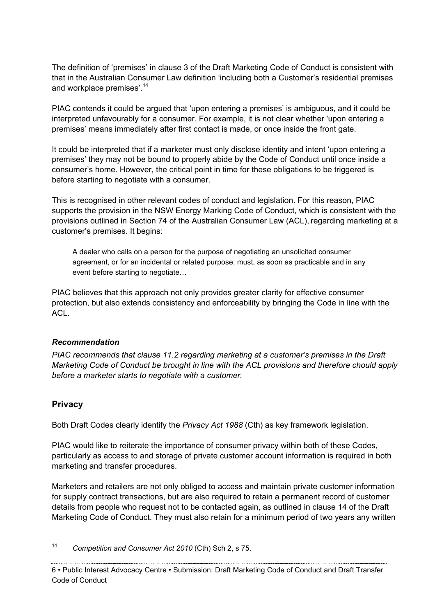The definition of 'premises' in clause 3 of the Draft Marketing Code of Conduct is consistent with that in the Australian Consumer Law definition 'including both a Customer's residential premises and workplace premises<sup>'.14</sup>

PIAC contends it could be argued that 'upon entering a premises' is ambiguous, and it could be interpreted unfavourably for a consumer. For example, it is not clear whether 'upon entering a premises' means immediately after first contact is made, or once inside the front gate.

It could be interpreted that if a marketer must only disclose identity and intent 'upon entering a premises' they may not be bound to properly abide by the Code of Conduct until once inside a consumer's home. However, the critical point in time for these obligations to be triggered is before starting to negotiate with a consumer.

This is recognised in other relevant codes of conduct and legislation. For this reason, PIAC supports the provision in the NSW Energy Marking Code of Conduct, which is consistent with the provisions outlined in Section 74 of the Australian Consumer Law (ACL), regarding marketing at a customer's premises. It begins:

A dealer who calls on a person for the purpose of negotiating an unsolicited consumer agreement, or for an incidental or related purpose, must, as soon as practicable and in any event before starting to negotiate…

PIAC believes that this approach not only provides greater clarity for effective consumer protection, but also extends consistency and enforceability by bringing the Code in line with the ACL.

*Recommendation PIAC recommends that clause 11.2 regarding marketing at a customer's premises in the Draft Marketing Code of Conduct be brought in line with the ACL provisions and therefore chould apply before a marketer starts to negotiate with a customer.*

#### **Privacy**

Both Draft Codes clearly identify the *Privacy Act 1988* (Cth) as key framework legislation.

PIAC would like to reiterate the importance of consumer privacy within both of these Codes, particularly as access to and storage of private customer account information is required in both marketing and transfer procedures.

Marketers and retailers are not only obliged to access and maintain private customer information for supply contract transactions, but are also required to retain a permanent record of customer details from people who request not to be contacted again, as outlined in clause 14 of the Draft Marketing Code of Conduct. They must also retain for a minimum period of two years any written

 <sup>14</sup> *Competition and Consumer Act 2010* (Cth) Sch 2, s 75.

<sup>6 •</sup> Public Interest Advocacy Centre • Submission: Draft Marketing Code of Conduct and Draft Transfer Code of Conduct